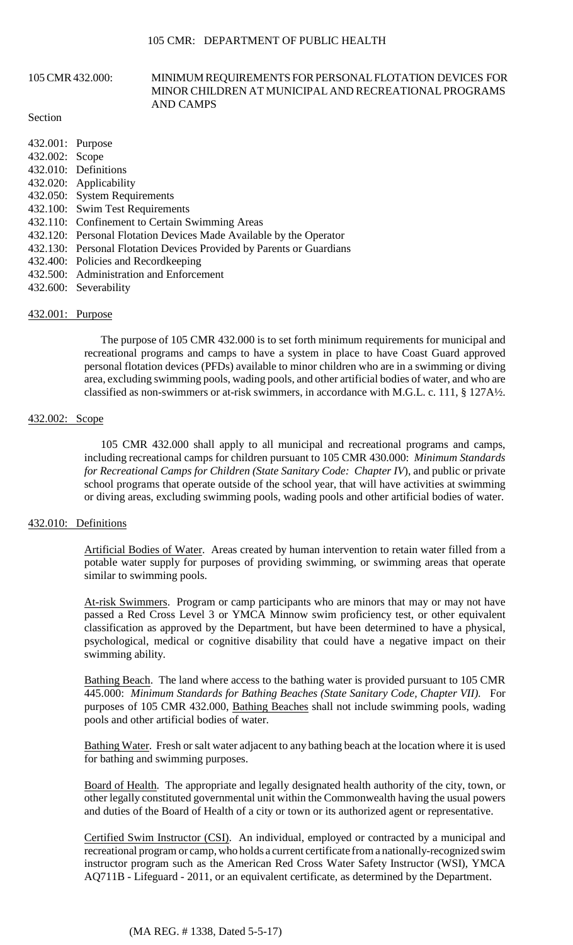#### MINOR CHILDREN AT MUNICIPAL AND RECREATIONAL PROGRAMS 105 CMR 432.000: MINIMUM REQUIREMENTS FOR PERSONAL FLOTATION DEVICES FOR AND CAMPS

#### Section

| 432.001: Purpose |                                                                      |
|------------------|----------------------------------------------------------------------|
| 432.002: Scope   |                                                                      |
|                  | 432.010: Definitions                                                 |
|                  | 432.020: Applicability                                               |
|                  | 432.050: System Requirements                                         |
|                  | 432.100: Swim Test Requirements                                      |
|                  | 432.110: Confinement to Certain Swimming Areas                       |
|                  | 432.120: Personal Flotation Devices Made Available by the Operator   |
|                  | 432.130: Personal Flotation Devices Provided by Parents or Guardians |
|                  | 432.400: Policies and Recordkeeping                                  |
|                  | 432.500: Administration and Enforcement                              |
|                  | 432.600: Severability                                                |
|                  |                                                                      |

# 432.001: Purpose

The purpose of 105 CMR 432.000 is to set forth minimum requirements for municipal and recreational programs and camps to have a system in place to have Coast Guard approved personal flotation devices (PFDs) available to minor children who are in a swimming or diving area, excluding swimming pools, wading pools, and other artificial bodies of water, and who are classified as non-swimmers or at-risk swimmers, in accordance with M.G.L. c. 111, § 127A½.

#### 432.002: Scope

105 CMR 432.000 shall apply to all municipal and recreational programs and camps, including recreational camps for children pursuant to 105 CMR 430.000: *Minimum Standards for Recreational Camps for Children (State Sanitary Code: Chapter IV*), and public or private school programs that operate outside of the school year, that will have activities at swimming or diving areas, excluding swimming pools, wading pools and other artificial bodies of water.

### 432.010: Definitions

Artificial Bodies of Water. Areas created by human intervention to retain water filled from a potable water supply for purposes of providing swimming, or swimming areas that operate similar to swimming pools.

At-risk Swimmers. Program or camp participants who are minors that may or may not have passed a Red Cross Level 3 or YMCA Minnow swim proficiency test, or other equivalent classification as approved by the Department, but have been determined to have a physical, psychological, medical or cognitive disability that could have a negative impact on their swimming ability.

Bathing Beach. The land where access to the bathing water is provided pursuant to 105 CMR 445.000: *Minimum Standards for Bathing Beaches (State Sanitary Code, Chapter VII)*. For purposes of 105 CMR 432.000, Bathing Beaches shall not include swimming pools, wading pools and other artificial bodies of water.

Bathing Water. Fresh or salt water adjacent to any bathing beach at the location where it is used for bathing and swimming purposes.

Board of Health. The appropriate and legally designated health authority of the city, town, or other legally constituted governmental unit within the Commonwealth having the usual powers and duties of the Board of Health of a city or town or its authorized agent or representative.

 recreational program or camp, who holds a current certificate from a nationally-recognized swim Certified Swim Instructor (CSI). An individual, employed or contracted by a municipal and instructor program such as the American Red Cross Water Safety Instructor (WSI), YMCA AQ711B - Lifeguard - 2011, or an equivalent certificate, as determined by the Department.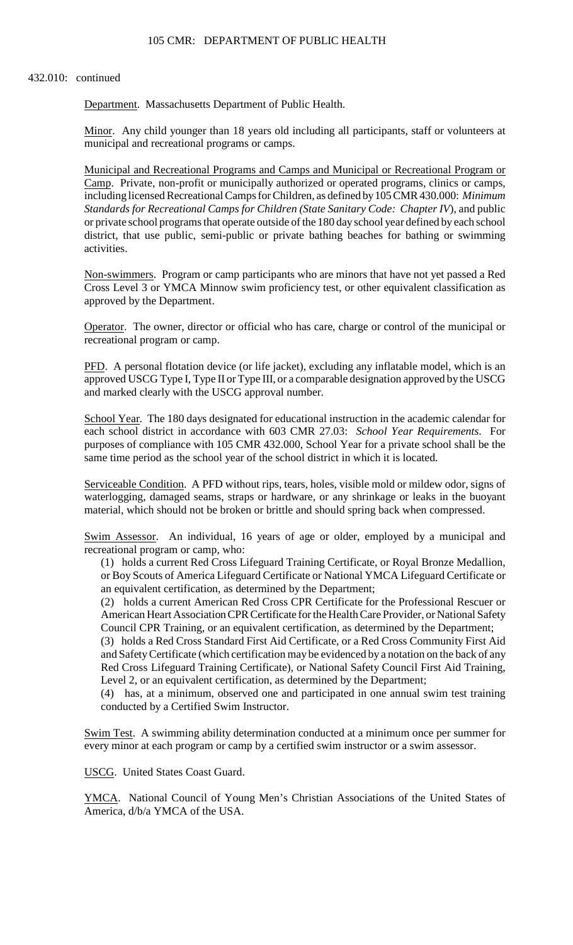#### 432.010: continued

Department. Massachusetts Department of Public Health.

Minor. Any child younger than 18 years old including all participants, staff or volunteers at municipal and recreational programs or camps.

Municipal and Recreational Programs and Camps and Municipal or Recreational Program or Camp. Private, non-profit or municipally authorized or operated programs, clinics or camps, including licensed Recreational Camps for Children, as defined by 105 CMR 430.000: *Minimum Standards for Recreational Camps for Children (State Sanitary Code: Chapter IV*), and public or private school programs that operate outside of the 180 day school year defined by each school district, that use public, semi-public or private bathing beaches for bathing or swimming activities.

Non-swimmers. Program or camp participants who are minors that have not yet passed a Red Cross Level 3 or YMCA Minnow swim proficiency test, or other equivalent classification as approved by the Department.

Operator. The owner, director or official who has care, charge or control of the municipal or recreational program or camp.

 approved USCG Type I, Type II or Type III, or a comparable designation approved by the USCG PFD. A personal flotation device (or life jacket), excluding any inflatable model, which is an and marked clearly with the USCG approval number.

School Year. The 180 days designated for educational instruction in the academic calendar for each school district in accordance with 603 CMR 27.03: *School Year Requirements*. For purposes of compliance with 105 CMR 432.000, School Year for a private school shall be the same time period as the school year of the school district in which it is located.

Serviceable Condition. A PFD without rips, tears, holes, visible mold or mildew odor, signs of waterlogging, damaged seams, straps or hardware, or any shrinkage or leaks in the buoyant material, which should not be broken or brittle and should spring back when compressed.

Swim Assessor. An individual, 16 years of age or older, employed by a municipal and recreational program or camp, who:

(1) holds a current Red Cross Lifeguard Training Certificate, or Royal Bronze Medallion, or Boy Scouts of America Lifeguard Certificate or National YMCA Lifeguard Certificate or an equivalent certification, as determined by the Department;

(2) holds a current American Red Cross CPR Certificate for the Professional Rescuer or American Heart Association CPR Certificate for the Health Care Provider, or National Safety Council CPR Training, or an equivalent certification, as determined by the Department;

(3) holds a Red Cross Standard First Aid Certificate, or a Red Cross Community First Aid and Safety Certificate (which certification may be evidenced by a notation on the back of any Red Cross Lifeguard Training Certificate), or National Safety Council First Aid Training, Level 2, or an equivalent certification, as determined by the Department;

 (4) has, at a minimum, observed one and participated in one annual swim test training conducted by a Certified Swim Instructor.

Swim Test. A swimming ability determination conducted at a minimum once per summer for every minor at each program or camp by a certified swim instructor or a swim assessor.

USCG. United States Coast Guard.

YMCA. National Council of Young Men's Christian Associations of the United States of America, d/b/a YMCA of the USA.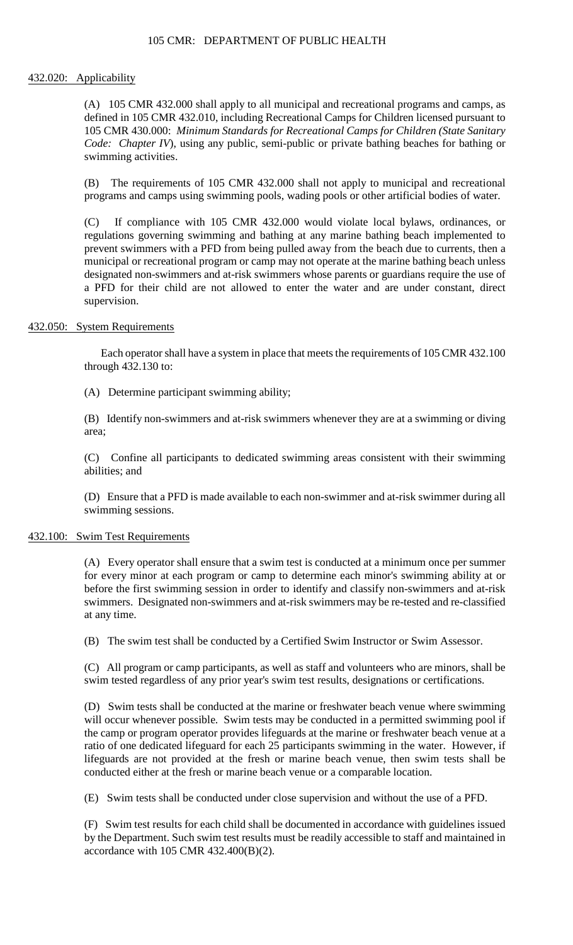### 105 CMR: DEPARTMENT OF PUBLIC HEALTH

# 432.020: Applicability

 (A) 105 CMR 432.000 shall apply to all municipal and recreational programs and camps, as defined in 105 CMR 432.010, including Recreational Camps for Children licensed pursuant to 105 CMR 430.000: *Minimum Standards for Recreational Camps for Children (State Sanitary Code: Chapter IV*), using any public, semi-public or private bathing beaches for bathing or swimming activities.

(B) The requirements of 105 CMR 432.000 shall not apply to municipal and recreational programs and camps using swimming pools, wading pools or other artificial bodies of water.

 prevent swimmers with a PFD from being pulled away from the beach due to currents, then a (C) If compliance with 105 CMR 432.000 would violate local bylaws, ordinances, or regulations governing swimming and bathing at any marine bathing beach implemented to municipal or recreational program or camp may not operate at the marine bathing beach unless designated non-swimmers and at-risk swimmers whose parents or guardians require the use of a PFD for their child are not allowed to enter the water and are under constant, direct supervision.

# 432.050: System Requirements

Each operator shall have a system in place that meets the requirements of 105 CMR 432.100 through 432.130 to:

(A) Determine participant swimming ability;

(B) Identify non-swimmers and at-risk swimmers whenever they are at a swimming or diving area;

 (C) Confine all participants to dedicated swimming areas consistent with their swimming abilities; and

 (D) Ensure that a PFD is made available to each non-swimmer and at-risk swimmer during all swimming sessions.

### 432.100: Swim Test Requirements

 before the first swimming session in order to identify and classify non-swimmers and at-risk (A) Every operator shall ensure that a swim test is conducted at a minimum once per summer for every minor at each program or camp to determine each minor's swimming ability at or swimmers. Designated non-swimmers and at-risk swimmers may be re-tested and re-classified at any time.

(B) The swim test shall be conducted by a Certified Swim Instructor or Swim Assessor.

(C) All program or camp participants, as well as staff and volunteers who are minors, shall be swim tested regardless of any prior year's swim test results, designations or certifications.

 will occur whenever possible. Swim tests may be conducted in a permitted swimming pool if (D) Swim tests shall be conducted at the marine or freshwater beach venue where swimming the camp or program operator provides lifeguards at the marine or freshwater beach venue at a ratio of one dedicated lifeguard for each 25 participants swimming in the water. However, if lifeguards are not provided at the fresh or marine beach venue, then swim tests shall be conducted either at the fresh or marine beach venue or a comparable location.

(E) Swim tests shall be conducted under close supervision and without the use of a PFD.

(F) Swim test results for each child shall be documented in accordance with guidelines issued by the Department. Such swim test results must be readily accessible to staff and maintained in accordance with 105 CMR 432.400(B)(2).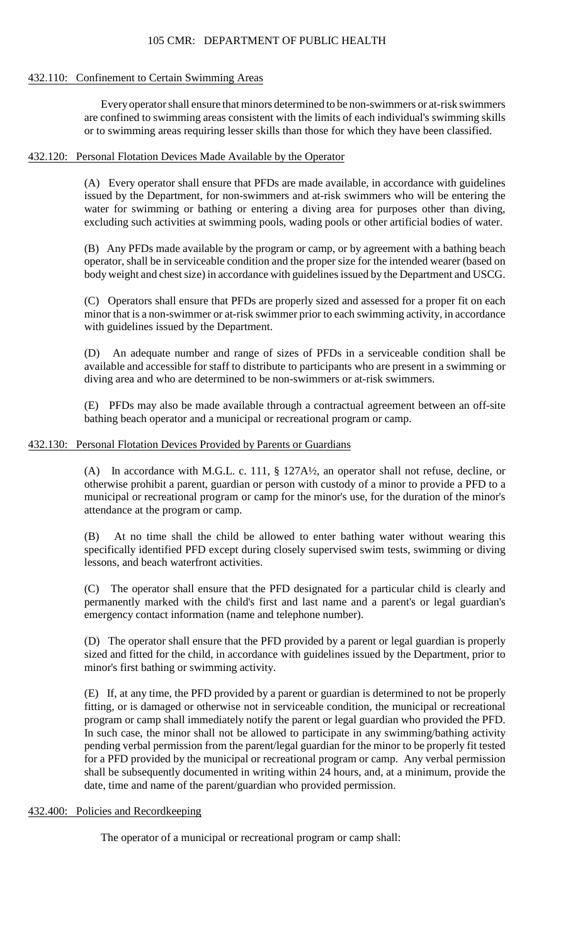# 105 CMR: DEPARTMENT OF PUBLIC HEALTH

#### 432.110: Confinement to Certain Swimming Areas

Every operator shall ensure that minors determined to be non-swimmers or at-risk swimmers are confined to swimming areas consistent with the limits of each individual's swimming skills or to swimming areas requiring lesser skills than those for which they have been classified.

# 432.120: Personal Flotation Devices Made Available by the Operator

(A) Every operator shall ensure that PFDs are made available, in accordance with guidelines issued by the Department, for non-swimmers and at-risk swimmers who will be entering the water for swimming or bathing or entering a diving area for purposes other than diving, excluding such activities at swimming pools, wading pools or other artificial bodies of water.

 (B) Any PFDs made available by the program or camp, or by agreement with a bathing beach operator, shall be in serviceable condition and the proper size for the intended wearer (based on body weight and chest size) in accordance with guidelines issued by the Department and USCG.

(C) Operators shall ensure that PFDs are properly sized and assessed for a proper fit on each minor that is a non-swimmer or at-risk swimmer prior to each swimming activity, in accordance with guidelines issued by the Department.

(D) An adequate number and range of sizes of PFDs in a serviceable condition shall be available and accessible for staff to distribute to participants who are present in a swimming or diving area and who are determined to be non-swimmers or at-risk swimmers.

(E) PFDs may also be made available through a contractual agreement between an off-site bathing beach operator and a municipal or recreational program or camp.

### 432.130: Personal Flotation Devices Provided by Parents or Guardians

 municipal or recreational program or camp for the minor's use, for the duration of the minor's (A) In accordance with M.G.L. c. 111, § 127A½, an operator shall not refuse, decline, or otherwise prohibit a parent, guardian or person with custody of a minor to provide a PFD to a attendance at the program or camp.

(B) At no time shall the child be allowed to enter bathing water without wearing this specifically identified PFD except during closely supervised swim tests, swimming or diving lessons, and beach waterfront activities.

(C) The operator shall ensure that the PFD designated for a particular child is clearly and permanently marked with the child's first and last name and a parent's or legal guardian's emergency contact information (name and telephone number).

(D) The operator shall ensure that the PFD provided by a parent or legal guardian is properly sized and fitted for the child, in accordance with guidelines issued by the Department, prior to minor's first bathing or swimming activity.

 (E) If, at any time, the PFD provided by a parent or guardian is determined to not be properly fitting, or is damaged or otherwise not in serviceable condition, the municipal or recreational program or camp shall immediately notify the parent or legal guardian who provided the PFD. In such case, the minor shall not be allowed to participate in any swimming/bathing activity pending verbal permission from the parent/legal guardian for the minor to be properly fit tested for a PFD provided by the municipal or recreational program or camp. Any verbal permission shall be subsequently documented in writing within 24 hours, and, at a minimum, provide the date, time and name of the parent/guardian who provided permission.

# 432.400: Policies and Recordkeeping

The operator of a municipal or recreational program or camp shall: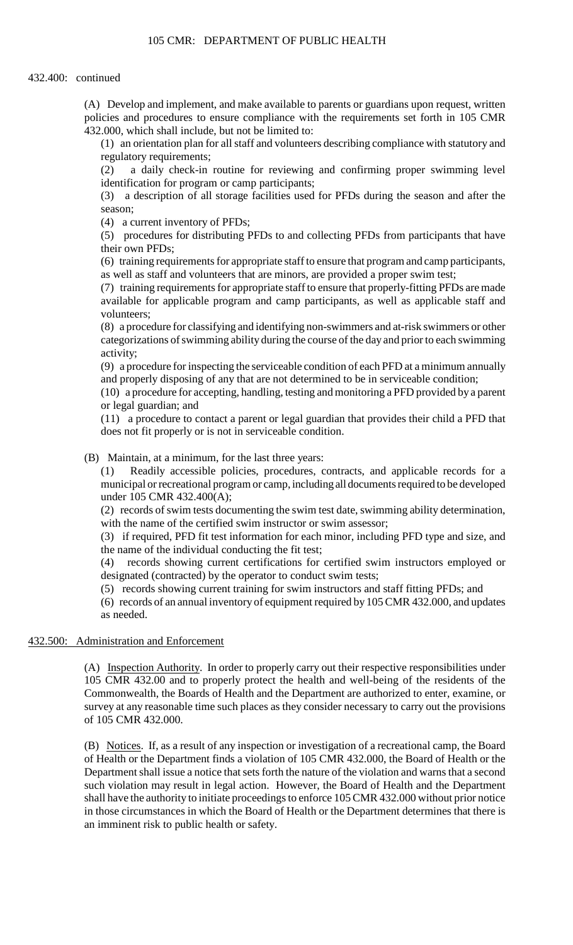(A) Develop and implement, and make available to parents or guardians upon request, written policies and procedures to ensure compliance with the requirements set forth in 105 CMR 432.000, which shall include, but not be limited to:

(1) an orientation plan for all staff and volunteers describing compliance with statutory and regulatory requirements;

(2) a daily check-in routine for reviewing and confirming proper swimming level identification for program or camp participants;

(3) a description of all storage facilities used for PFDs during the season and after the season;

(4) a current inventory of PFDs;

(5) procedures for distributing PFDs to and collecting PFDs from participants that have their own PFDs;

 (6) training requirements for appropriate staff to ensure that program and camp participants, as well as staff and volunteers that are minors, are provided a proper swim test;

(7) training requirements for appropriate staff to ensure that properly-fitting PFDs are made available for applicable program and camp participants, as well as applicable staff and volunteers;

 categorizations of swimming ability during the course of the day and prior to each swimming (8) a procedure for classifying and identifying non-swimmers and at-risk swimmers or other activity;

 (9) a procedure for inspecting the serviceable condition of each PFD at a minimum annually and properly disposing of any that are not determined to be in serviceable condition;

(10) a procedure for accepting, handling, testing and monitoring a PFD provided by a parent or legal guardian; and

(11) a procedure to contact a parent or legal guardian that provides their child a PFD that does not fit properly or is not in serviceable condition.

(B) Maintain, at a minimum, for the last three years:

 $(1)$ Readily accessible policies, procedures, contracts, and applicable records for a municipal or recreational program or camp, including all documents required to be developed under 105 CMR 432.400(A);

(2) records of swim tests documenting the swim test date, swimming ability determination, with the name of the certified swim instructor or swim assessor;

(3) if required, PFD fit test information for each minor, including PFD type and size, and the name of the individual conducting the fit test;

(4) records showing current certifications for certified swim instructors employed or designated (contracted) by the operator to conduct swim tests;

(5) records showing current training for swim instructors and staff fitting PFDs; and

(6) records of an annual inventory of equipment required by 105 CMR 432.000, and updates as needed.

### 432.500: Administration and Enforcement

(A) Inspection Authority. In order to properly carry out their respective responsibilities under 105 CMR 432.00 and to properly protect the health and well-being of the residents of the Commonwealth, the Boards of Health and the Department are authorized to enter, examine, or survey at any reasonable time such places as they consider necessary to carry out the provisions of 105 CMR 432.000.

(B) Notices. If, as a result of any inspection or investigation of a recreational camp, the Board of Health or the Department finds a violation of 105 CMR 432.000, the Board of Health or the Department shall issue a notice that sets forth the nature of the violation and warns that a second such violation may result in legal action. However, the Board of Health and the Department shall have the authority to initiate proceedings to enforce 105 CMR 432.000 without prior notice in those circumstances in which the Board of Health or the Department determines that there is an imminent risk to public health or safety.